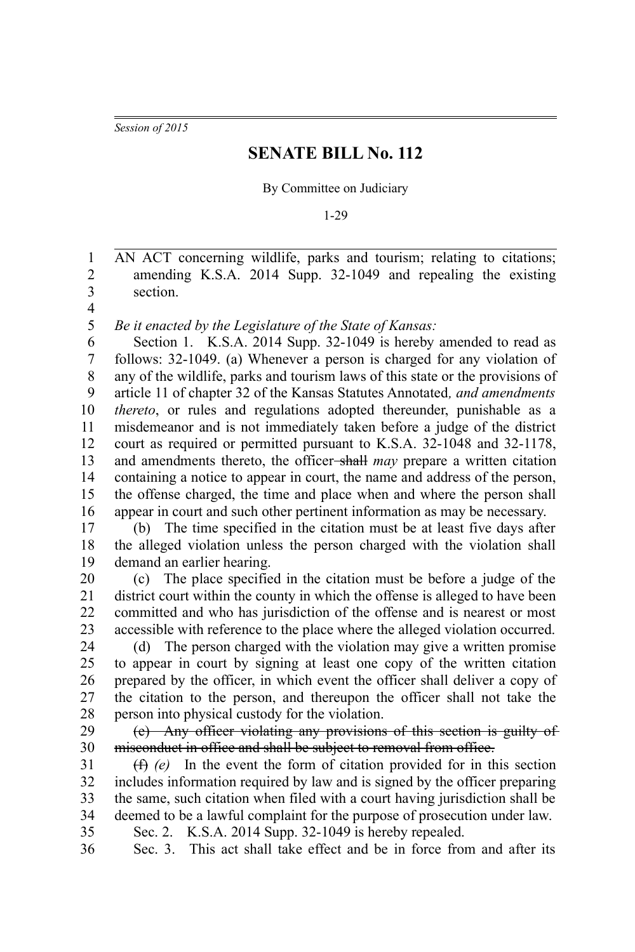*Session of 2015*

## **SENATE BILL No. 112**

By Committee on Judiciary

1-29

AN ACT concerning wildlife, parks and tourism; relating to citations; amending K.S.A. 2014 Supp. 32-1049 and repealing the existing section. 1 2 3

4

*Be it enacted by the Legislature of the State of Kansas:* 5

Section 1. K.S.A. 2014 Supp. 32-1049 is hereby amended to read as follows: 32-1049. (a) Whenever a person is charged for any violation of any of the wildlife, parks and tourism laws of this state or the provisions of article 11 of chapter 32 of the Kansas Statutes Annotated*, and amendments thereto*, or rules and regulations adopted thereunder, punishable as a misdemeanor and is not immediately taken before a judge of the district court as required or permitted pursuant to K.S.A. 32-1048 and 32-1178, and amendments thereto, the officer shall *may* prepare a written citation containing a notice to appear in court, the name and address of the person, the offense charged, the time and place when and where the person shall appear in court and such other pertinent information as may be necessary. 6 7 8 9 10 11 12 13 14 15 16

(b) The time specified in the citation must be at least five days after the alleged violation unless the person charged with the violation shall demand an earlier hearing. 17 18 19

(c) The place specified in the citation must be before a judge of the district court within the county in which the offense is alleged to have been committed and who has jurisdiction of the offense and is nearest or most accessible with reference to the place where the alleged violation occurred. 20 21 22 23

(d) The person charged with the violation may give a written promise to appear in court by signing at least one copy of the written citation prepared by the officer, in which event the officer shall deliver a copy of the citation to the person, and thereupon the officer shall not take the person into physical custody for the violation. 24 25 26 27 28

(e) Any officer violating any provisions of this section is guilty of misconduct in office and shall be subject to removal from office. 29 30

(f) *(e)* In the event the form of citation provided for in this section includes information required by law and is signed by the officer preparing the same, such citation when filed with a court having jurisdiction shall be deemed to be a lawful complaint for the purpose of prosecution under law. 31 32 33 34

35

Sec. 2. K.S.A. 2014 Supp. 32-1049 is hereby repealed.

36

Sec. 3. This act shall take effect and be in force from and after its